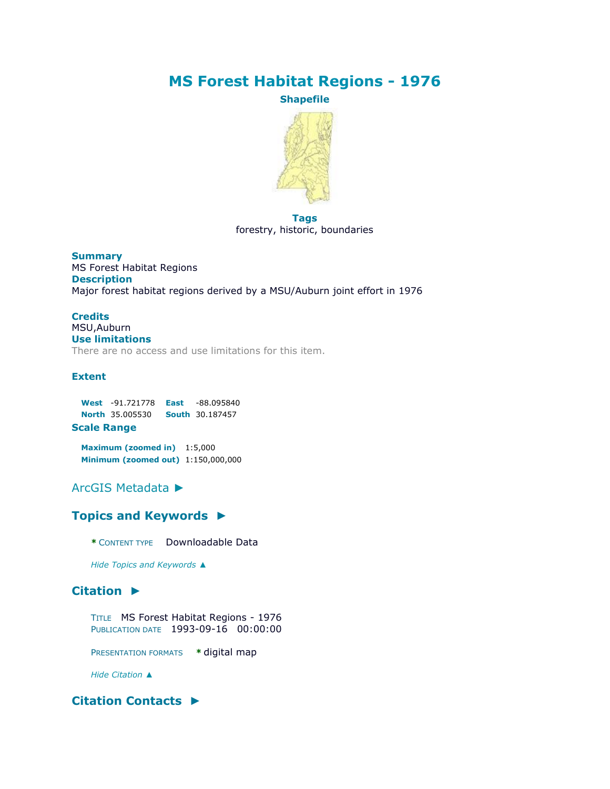# **MS Forest Habitat Regions - 1976**

**Shapefile**



#### **Tags** forestry, historic, boundaries

**Summary** MS Forest Habitat Regions **Description** Major forest habitat regions derived by a MSU/Auburn joint effort in 1976

#### **Credits** MSU,Auburn **Use limitations**

There are no access and use limitations for this item.

### **Extent**

|                                                                                                                                                                                                                                      | West -91.721778 East -88.095840        |  |  |  |
|--------------------------------------------------------------------------------------------------------------------------------------------------------------------------------------------------------------------------------------|----------------------------------------|--|--|--|
|                                                                                                                                                                                                                                      | <b>North 35.005530 South 30.187457</b> |  |  |  |
| <b>Contract Contract Contract Contract Contract Contract Contract Contract Contract Contract Contract Contract Contract Contract Contract Contract Contract Contract Contract Contract Contract Contract Contract Contract Contr</b> |                                        |  |  |  |

#### **Scale Range**

**Maximum (zoomed in)** 1:5,000 **Minimum (zoomed out)** 1:150,000,000

# [ArcGIS Metadata](file:///C:/Users/swalker/AppData/Local/Temp/arc4EC9/tmp99EE.tmp.htm%23arcgisMetadata) ►

# **[Topics and Keywords](file:///C:/Users/swalker/AppData/Local/Temp/arc4EC9/tmp99EE.tmp.htm%23true) ►**

**\*** CONTENT TYPE Downloadable Data

*Hide [Topics and Keywords](file:///C:/Users/swalker/AppData/Local/Temp/arc4EC9/tmp99EE.tmp.htm%23true) ▲*

# **[Citation](file:///C:/Users/swalker/AppData/Local/Temp/arc4EC9/tmp99EE.tmp.htm%23ID0ELJA) ►**

TITLE MS Forest Habitat Regions - 1976 PUBLICATION DATE 1993-09-16 00:00:00

PRESENTATION FORMATS **\*** digital map

*Hide [Citation](file:///C:/Users/swalker/AppData/Local/Temp/arc4EC9/tmp99EE.tmp.htm%23ID0ELJA) ▲*

# **[Citation Contacts](file:///C:/Users/swalker/AppData/Local/Temp/arc4EC9/tmp99EE.tmp.htm%23ID0EBLJA) ►**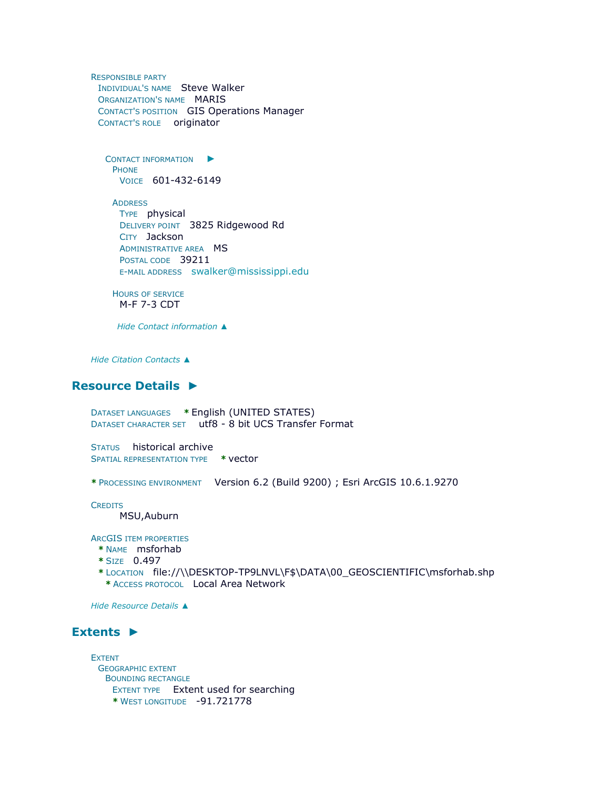RESPONSIBLE PARTY INDIVIDUAL'S NAME Steve Walker ORGANIZATION'S NAME MARIS CONTACT'S POSITION GIS Operations Manager CONTACT'S ROLE originator

C[ONTACT INFORMATION](file:///C:/Users/swalker/AppData/Local/Temp/arc4EC9/tmp99EE.tmp.htm%23ID0EABLJA)  $\blacktriangleright$ PHONE VOICE 601-432-6149

**ADDRESS** TYPE physical DELIVERY POINT 3825 Ridgewood Rd CITY Jackson ADMINISTRATIVE AREA MS POSTAL CODE 39211 E-MAIL ADDRESS [swalker@mississippi.edu](mailto:swalker@mississippi.edu?subject=MS%20Forest%20Habitat%20Regions%20-%201976)

```
HOURS OF SERVICE
 M-F 7-3 CDT
```
*Hide [Contact information](file:///C:/Users/swalker/AppData/Local/Temp/arc4EC9/tmp99EE.tmp.htm%23ID0EABLJA) ▲*

*Hide [Citation Contacts](file:///C:/Users/swalker/AppData/Local/Temp/arc4EC9/tmp99EE.tmp.htm%23ID0EBLJA) ▲*

### **[Resource Details](file:///C:/Users/swalker/AppData/Local/Temp/arc4EC9/tmp99EE.tmp.htm%23ID0EEBGMA) ►**

DATASET LANGUAGES **\*** English (UNITED STATES) DATASET CHARACTER SET utf8 - 8 bit UCS Transfer Format

STATUS historical archive SPATIAL REPRESENTATION TYPE **\*** vector

**\*** PROCESSING ENVIRONMENT Version 6.2 (Build 9200) ; Esri ArcGIS 10.6.1.9270

**CREDITS** 

MSU,Auburn

ARCGIS ITEM PROPERTIES

- **\*** NAME msforhab
- **\*** SIZE 0.497
- **\*** LOCATION file://\\DESKTOP-TP9LNVL\F\$\DATA\00\_GEOSCIENTIFIC\msforhab.shp **\*** ACCESS PROTOCOL Local Area Network

*Hide [Resource Details](file:///C:/Users/swalker/AppData/Local/Temp/arc4EC9/tmp99EE.tmp.htm%23ID0EEBGMA) ▲*

### **[Extents](file:///C:/Users/swalker/AppData/Local/Temp/arc4EC9/tmp99EE.tmp.htm%23ID0EEDBGMA) ►**

EXTENT GEOGRAPHIC EXTENT BOUNDING RECTANGLE EXTENT TYPE Extent used for searching **\*** WEST LONGITUDE -91.721778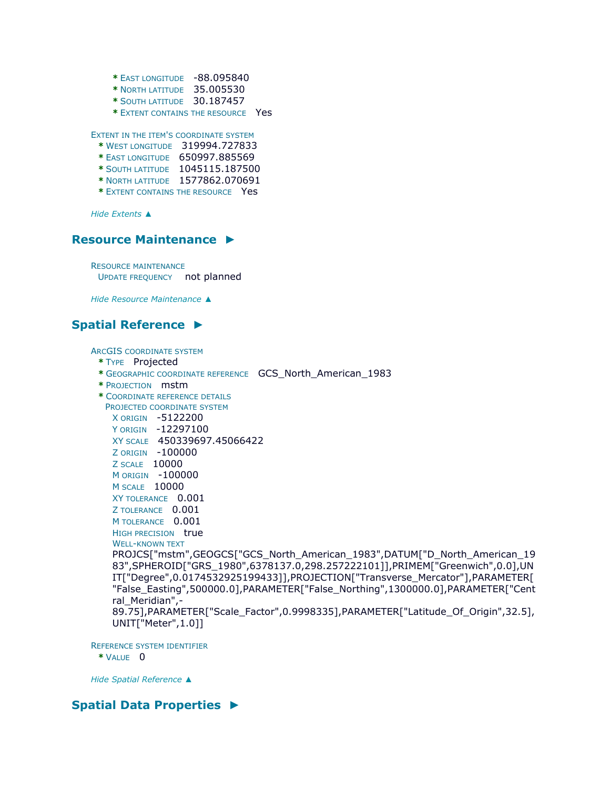```
* EAST LONGITUDE -88.095840
```
- **\*** NORTH LATITUDE 35.005530
- **\*** SOUTH LATITUDE 30.187457
- **\*** EXTENT CONTAINS THE RESOURCE Yes

EXTENT IN THE ITEM'S COORDINATE SYSTEM

- **\*** WEST LONGITUDE 319994.727833
- **\*** EAST LONGITUDE 650997.885569
- **\*** SOUTH LATITUDE 1045115.187500
- **\*** NORTH LATITUDE 1577862.070691
- **\*** EXTENT CONTAINS THE RESOURCE Yes

*Hide [Extents](file:///C:/Users/swalker/AppData/Local/Temp/arc4EC9/tmp99EE.tmp.htm%23ID0EEDBGMA) ▲*

### **[Resource Maintenance](file:///C:/Users/swalker/AppData/Local/Temp/arc4EC9/tmp99EE.tmp.htm%23ID0EEJA) ►**

RESOURCE MAINTENANCE UPDATE FREQUENCY not planned

*Hide [Resource Maintenance](file:///C:/Users/swalker/AppData/Local/Temp/arc4EC9/tmp99EE.tmp.htm%23ID0EEJA) ▲*

# **[Spatial Reference](file:///C:/Users/swalker/AppData/Local/Temp/arc4EC9/tmp99EE.tmp.htm%23ID0EEAGMA) ►**

ARCGIS COORDINATE SYSTEM

- **\*** TYPE Projected
- **\*** GEOGRAPHIC COORDINATE REFERENCE GCS\_North\_American\_1983
- **\*** PROJECTION mstm
- **\*** COORDINATE REFERENCE DETAILS PROJECTED COORDINATE SYSTEM X ORIGIN -5122200

```
Y ORIGIN -12297100 
XY SCALE 450339697.45066422
Z ORIGIN -100000 
Z SCALE 10000 
M ORIGIN -100000 
M SCALE 10000 
XY TOLERANCE 0.001 
Z TOLERANCE 0.001
M TOLERANCE 0.001
HIGH PRECISION true
```

```
WELL-KNOWN TEXT
```
PROJCS["mstm",GEOGCS["GCS\_North\_American\_1983",DATUM["D\_North\_American\_19 83",SPHEROID["GRS\_1980",6378137.0,298.257222101]],PRIMEM["Greenwich",0.0],UN IT["Degree",0.0174532925199433]],PROJECTION["Transverse\_Mercator"],PARAMETER[ "False\_Easting",500000.0],PARAMETER["False\_Northing",1300000.0],PARAMETER["Cent ral Meridian",-89.75],PARAMETER["Scale\_Factor",0.9998335],PARAMETER["Latitude\_Of\_Origin",32.5],

```
UNIT["Meter",1.0]]
```
REFERENCE SYSTEM IDENTIFIER **\*** VALUE 0

*Hide [Spatial Reference](file:///C:/Users/swalker/AppData/Local/Temp/arc4EC9/tmp99EE.tmp.htm%23ID0EEAGMA) ▲*

# **[Spatial Data Properties](file:///C:/Users/swalker/AppData/Local/Temp/arc4EC9/tmp99EE.tmp.htm%23ID0EACA) ►**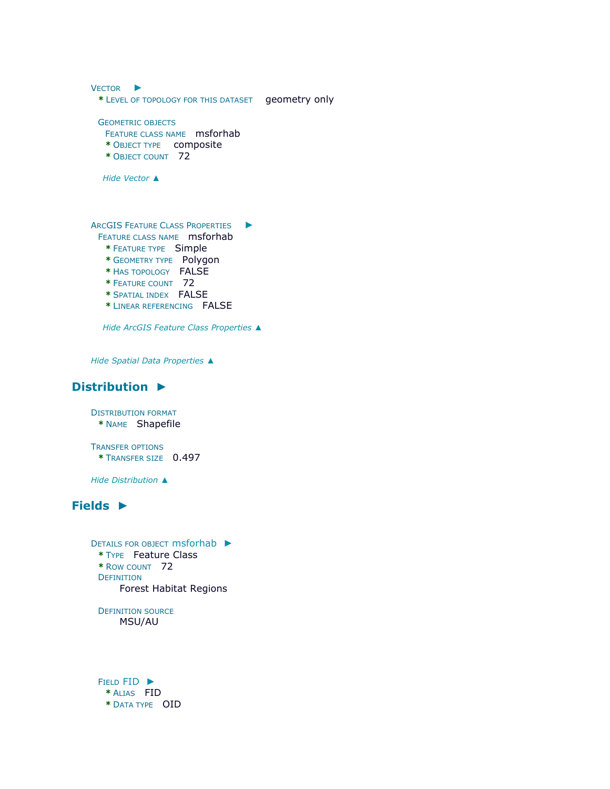| <b>VECTOR</b>                                                                                                                                                                                                                          |               |
|----------------------------------------------------------------------------------------------------------------------------------------------------------------------------------------------------------------------------------------|---------------|
| * LEVEL OF TOPOLOGY FOR THIS DATASET                                                                                                                                                                                                   | geometry only |
| <b>GEOMETRIC OBJECTS</b><br>FEATURE CLASS NAME msforhab<br>* OBJECT TYPE    composite<br>* OBJECT COUNT 72                                                                                                                             |               |
| Hide Vector ▲                                                                                                                                                                                                                          |               |
| <b>ARCGIS FEATURE CLASS PROPERTIES</b><br><b>FEATURE CLASS NAME</b> msforhab<br>* FEATURE TYPE Simple<br>* GEOMETRY TYPE Polygon<br>* HAS TOPOLOGY FALSE<br>* FEATURE COUNT 72<br>* SPATIAL INDEX FALSE<br>* LINEAR REFERENCING FAI SF |               |

*Hide [ArcGIS Feature Class Properties](file:///C:/Users/swalker/AppData/Local/Temp/arc4EC9/tmp99EE.tmp.htm%23ID0EA) ▲*

*Hide [Spatial Data Properties](file:///C:/Users/swalker/AppData/Local/Temp/arc4EC9/tmp99EE.tmp.htm%23ID0EACA) ▲*

# **[Distribution](file:///C:/Users/swalker/AppData/Local/Temp/arc4EC9/tmp99EE.tmp.htm%23ID0EGA) ►**

DISTRIBUTION FORMAT **\*** NAME Shapefile

TRANSFER OPTIONS **\*** TRANSFER SIZE 0.497

*Hide [Distribution](file:///C:/Users/swalker/AppData/Local/Temp/arc4EC9/tmp99EE.tmp.htm%23ID0EGA) ▲*

# **[Fields](file:///C:/Users/swalker/AppData/Local/Temp/arc4EC9/tmp99EE.tmp.htm%23ID0EIA) ►**

```
ETAILS FOR OBJECT msforhab
 * TYPE Feature Class 
 * ROW COUNT 72 
 DEFINITION
     Forest Habitat Regions
```
DEFINITION SOURCE MSU/AU

FIELD [FID](file:///C:/Users/swalker/AppData/Local/Temp/arc4EC9/tmp99EE.tmp.htm%23ID0EJAIA) ► **\*** ALIAS FID **\*** DATA TYPE OID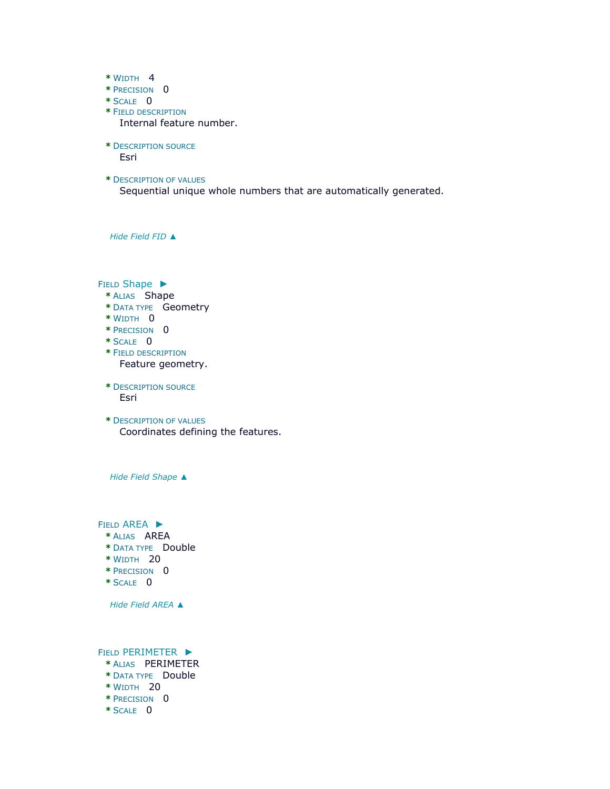- **\*** WIDTH 4
- **\*** PRECISION 0
- **\*** SCALE 0
- **\*** FIELD DESCRIPTION Internal feature number.
- **\*** DESCRIPTION SOURCE Esri
- **\*** DESCRIPTION OF VALUES Sequential unique whole numbers that are automatically generated.

*Hide [Field](file:///C:/Users/swalker/AppData/Local/Temp/arc4EC9/tmp99EE.tmp.htm%23ID0EJAIA) FID ▲*

FIELD [Shape](file:///C:/Users/swalker/AppData/Local/Temp/arc4EC9/tmp99EE.tmp.htm%23ID0EIAIA) ►

- **\*** ALIAS Shape
- **\*** DATA TYPE Geometry
- **\*** WIDTH 0
- **\*** PRECISION 0
- **\*** SCALE 0
- **\*** FIELD DESCRIPTION Feature geometry.
- **\*** DESCRIPTION SOURCE Esri
- **\*** DESCRIPTION OF VALUES Coordinates defining the features.

*Hide Field [Shape](file:///C:/Users/swalker/AppData/Local/Temp/arc4EC9/tmp99EE.tmp.htm%23ID0EIAIA) ▲*

FIELD [AREA](file:///C:/Users/swalker/AppData/Local/Temp/arc4EC9/tmp99EE.tmp.htm%23ID0EHAIA) ►

- **\*** ALIAS AREA
- **\*** DATA TYPE Double
- **\*** WIDTH 20
- **\*** PRECISION 0
- **\*** SCALE 0

*Hide Field [AREA](file:///C:/Users/swalker/AppData/Local/Temp/arc4EC9/tmp99EE.tmp.htm%23ID0EHAIA) ▲*

FIELD [PERIMETER](file:///C:/Users/swalker/AppData/Local/Temp/arc4EC9/tmp99EE.tmp.htm%23ID0EGAIA) ►

- **\*** ALIAS PERIMETER
- **\*** DATA TYPE Double
- **\*** WIDTH 20
- **\*** PRECISION 0
- **\*** SCALE 0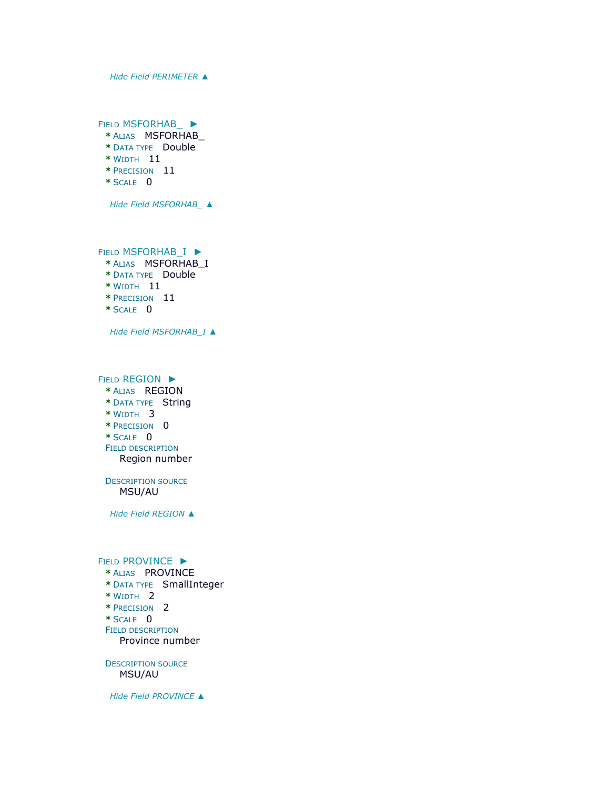*Hide Field [PERIMETER](file:///C:/Users/swalker/AppData/Local/Temp/arc4EC9/tmp99EE.tmp.htm%23ID0EGAIA) ▲*

FIELD [MSFORHAB\\_](file:///C:/Users/swalker/AppData/Local/Temp/arc4EC9/tmp99EE.tmp.htm%23ID0EFAIA) ►

- **\*** ALIAS MSFORHAB\_
- **\*** DATA TYPE Double
- **\*** WIDTH 11
- **\*** PRECISION 11
- **\*** SCALE 0

*Hide Field [MSFORHAB\\_](file:///C:/Users/swalker/AppData/Local/Temp/arc4EC9/tmp99EE.tmp.htm%23ID0EFAIA) ▲*

FIELD [MSFORHAB\\_I](file:///C:/Users/swalker/AppData/Local/Temp/arc4EC9/tmp99EE.tmp.htm%23ID0EEAIA) ►

- **\*** ALIAS MSFORHAB\_I
- **\*** DATA TYPE Double
- **\*** WIDTH 11
- **\*** PRECISION 11
- **\*** SCALE 0

*Hide Field [MSFORHAB\\_I](file:///C:/Users/swalker/AppData/Local/Temp/arc4EC9/tmp99EE.tmp.htm%23ID0EEAIA) ▲*

FIELD [REGION](file:///C:/Users/swalker/AppData/Local/Temp/arc4EC9/tmp99EE.tmp.htm%23ID0EDAIA) ►

- **\*** ALIAS REGION
- **\*** DATA TYPE String
- **\*** WIDTH 3
- **\*** PRECISION 0
- **\*** SCALE 0

FIELD DESCRIPTION Region number

DESCRIPTION SOURCE MSU/AU

*Hide Field [REGION](file:///C:/Users/swalker/AppData/Local/Temp/arc4EC9/tmp99EE.tmp.htm%23ID0EDAIA) ▲*

#### FIELD [PROVINCE](file:///C:/Users/swalker/AppData/Local/Temp/arc4EC9/tmp99EE.tmp.htm%23ID0ECAIA) ►

#### **\*** ALIAS PROVINCE

- **\*** DATA TYPE SmallInteger
- **\*** WIDTH 2
- **\*** PRECISION 2
- **\*** SCALE 0
- FIELD DESCRIPTION

Province number

DESCRIPTION SOURCE MSU/AU

*Hide Field [PROVINCE](file:///C:/Users/swalker/AppData/Local/Temp/arc4EC9/tmp99EE.tmp.htm%23ID0ECAIA) ▲*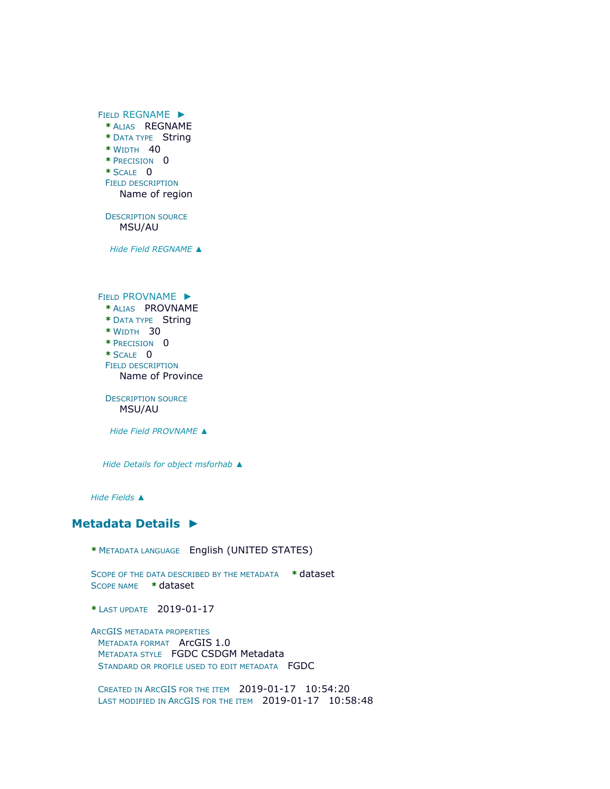FIELD [REGNAME](file:///C:/Users/swalker/AppData/Local/Temp/arc4EC9/tmp99EE.tmp.htm%23ID0EBAIA) ► **\*** ALIAS REGNAME **\*** DATA TYPE String **\*** WIDTH 40 **\*** PRECISION 0  $*$  SCALE  $0$ FIELD DESCRIPTION Name of region DESCRIPTION SOURCE MSU/AU *Hide Field [REGNAME](file:///C:/Users/swalker/AppData/Local/Temp/arc4EC9/tmp99EE.tmp.htm%23ID0EBAIA) ▲* FIELD [PROVNAME](file:///C:/Users/swalker/AppData/Local/Temp/arc4EC9/tmp99EE.tmp.htm%23ID0EAAIA) ► **\*** ALIAS PROVNAME **\*** DATA TYPE String **\*** WIDTH 30 **\*** PRECISION 0 **\*** SCALE 0 FIELD DESCRIPTION Name of Province DESCRIPTION SOURCE MSU/AU *Hide Field [PROVNAME](file:///C:/Users/swalker/AppData/Local/Temp/arc4EC9/tmp99EE.tmp.htm%23ID0EAAIA) ▲*

*Hide [Details for object](file:///C:/Users/swalker/AppData/Local/Temp/arc4EC9/tmp99EE.tmp.htm%23ID0EAIA) msforhab ▲*

*Hide [Fields](file:///C:/Users/swalker/AppData/Local/Temp/arc4EC9/tmp99EE.tmp.htm%23ID0EIA) ▲*

### **[Metadata Details](file:///C:/Users/swalker/AppData/Local/Temp/arc4EC9/tmp99EE.tmp.htm%23ID0TALMA) ►**

**\*** METADATA LANGUAGE English (UNITED STATES)

SCOPE OF THE DATA DESCRIBED BY THE METADATA **\*** dataset SCOPE NAME **\*** dataset

**\*** LAST UPDATE 2019-01-17

ARCGIS METADATA PROPERTIES METADATA FORMAT ArcGIS 1.0 METADATA STYLE FGDC CSDGM Metadata STANDARD OR PROFILE USED TO EDIT METADATA FGDC

CREATED IN ARCGIS FOR THE ITEM 2019-01-17 10:54:20 LAST MODIFIED IN ARCGIS FOR THE ITEM 2019-01-17 10:58:48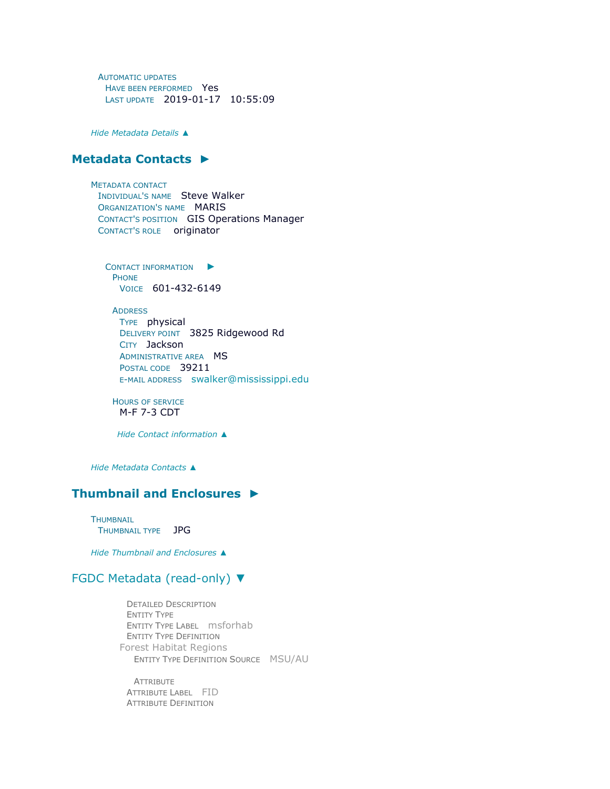AUTOMATIC UPDATES HAVE BEEN PERFORMED Yes LAST UPDATE 2019-01-17 10:55:09

*Hide [Metadata Details](file:///C:/Users/swalker/AppData/Local/Temp/arc4EC9/tmp99EE.tmp.htm%23ID0TALMA) ▲*

#### **[Metadata Contacts](file:///C:/Users/swalker/AppData/Local/Temp/arc4EC9/tmp99EE.tmp.htm%23ID0EKA) ►**

METADATA CONTACT INDIVIDUAL'S NAME Steve Walker ORGANIZATION'S NAME MARIS CONTACT'S POSITION GIS Operations Manager CONTACT'S ROLE originator

C[ONTACT INFORMATION](file:///C:/Users/swalker/AppData/Local/Temp/arc4EC9/tmp99EE.tmp.htm%23ID0EBKA) **PHONE** VOICE 601-432-6149

**ADDRESS** TYPE physical DELIVERY POINT 3825 Ridgewood Rd CITY Jackson ADMINISTRATIVE AREA **MS** POSTAL CODE 39211 E-MAIL ADDRESS [swalker@mississippi.edu](mailto:swalker@mississippi.edu?subject=MS%20Forest%20Habitat%20Regions%20-%201976)

HOURS OF SERVICE M-F 7-3 CDT

*Hide [Contact information](file:///C:/Users/swalker/AppData/Local/Temp/arc4EC9/tmp99EE.tmp.htm%23ID0EBKA) ▲*

*Hide [Metadata Contacts](file:///C:/Users/swalker/AppData/Local/Temp/arc4EC9/tmp99EE.tmp.htm%23ID0EKA) ▲*

### **[Thumbnail and Enclosures](file:///C:/Users/swalker/AppData/Local/Temp/arc4EC9/tmp99EE.tmp.htm%23ID0ELA) ►**

**THUMBNAIL** THUMBNAIL TYPE JPG

*Hide [Thumbnail and Enclosures](file:///C:/Users/swalker/AppData/Local/Temp/arc4EC9/tmp99EE.tmp.htm%23ID0ELA) ▲*

#### [FGDC Metadata \(read-only\)](file:///C:/Users/swalker/AppData/Local/Temp/arc4EC9/tmp99EE.tmp.htm%23fgdcMetadata) ▼

DETAILED DESCRIPTION ENTITY TYPE ENTITY TYPE LABEL msforhab ENTITY TYPE DEFINITION Forest Habitat Regions ENTITY TYPE DEFINITION SOURCE MSU/AU

**ATTRIBUTE** ATTRIBUTE LABEL FID ATTRIBUTE DEFINITION